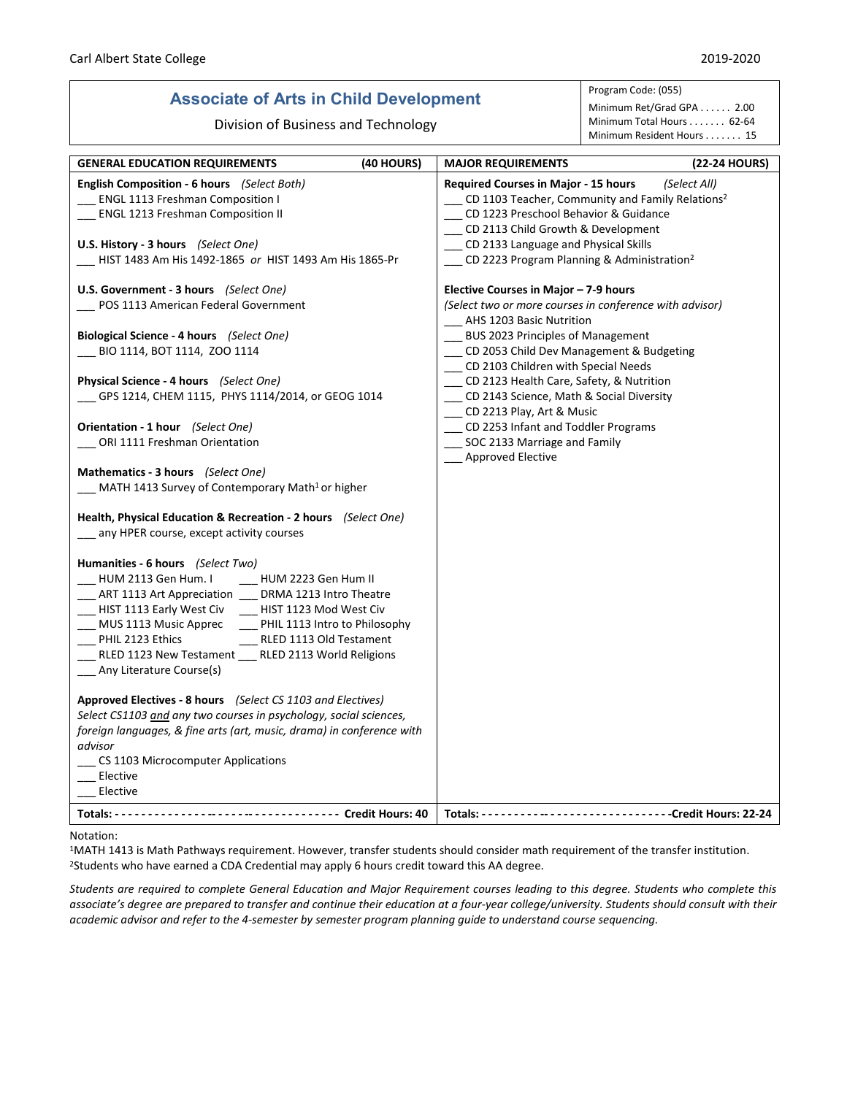## **Associate of Arts in Child Development**

Division of Business and Technology

Program Code: (055)

Minimum Ret/Grad GPA . . . . . . 2.00 Minimum Total Hours . . . . . . . 62-64 Minimum Resident Hours . . . . . . . 15

| <b>GENERAL EDUCATION REQUIREMENTS</b>                                                                                                                                                                                                                                                                                                                                                                                                                             | (40 HOURS) | <b>MAJOR REQUIREMENTS</b>                                                                                                                                                                                                                                                                            | (22-24 HOURS) |
|-------------------------------------------------------------------------------------------------------------------------------------------------------------------------------------------------------------------------------------------------------------------------------------------------------------------------------------------------------------------------------------------------------------------------------------------------------------------|------------|------------------------------------------------------------------------------------------------------------------------------------------------------------------------------------------------------------------------------------------------------------------------------------------------------|---------------|
| English Composition - 6 hours (Select Both)<br><b>ENGL 1113 Freshman Composition I</b><br><b>ENGL 1213 Freshman Composition II</b><br><b>U.S. History - 3 hours</b> (Select One)<br>HIST 1483 Am His 1492-1865 or HIST 1493 Am His 1865-Pr                                                                                                                                                                                                                        |            | <b>Required Courses in Major - 15 hours</b><br>CD 1103 Teacher, Community and Family Relations <sup>2</sup><br>CD 1223 Preschool Behavior & Guidance<br>__ CD 2113 Child Growth & Development<br>_ CD 2133 Language and Physical Skills<br>__ CD 2223 Program Planning & Administration <sup>2</sup> | (Select All)  |
| U.S. Government - 3 hours (Select One)                                                                                                                                                                                                                                                                                                                                                                                                                            |            | Elective Courses in Major - 7-9 hours                                                                                                                                                                                                                                                                |               |
| POS 1113 American Federal Government                                                                                                                                                                                                                                                                                                                                                                                                                              |            | (Select two or more courses in conference with advisor)<br>__ AHS 1203 Basic Nutrition                                                                                                                                                                                                               |               |
| Biological Science - 4 hours (Select One)                                                                                                                                                                                                                                                                                                                                                                                                                         |            | __ BUS 2023 Principles of Management                                                                                                                                                                                                                                                                 |               |
| BIO 1114, BOT 1114, ZOO 1114                                                                                                                                                                                                                                                                                                                                                                                                                                      |            | _ CD 2053 Child Dev Management & Budgeting                                                                                                                                                                                                                                                           |               |
|                                                                                                                                                                                                                                                                                                                                                                                                                                                                   |            | __ CD 2103 Children with Special Needs                                                                                                                                                                                                                                                               |               |
| Physical Science - 4 hours (Select One)                                                                                                                                                                                                                                                                                                                                                                                                                           |            | __ CD 2123 Health Care, Safety, & Nutrition                                                                                                                                                                                                                                                          |               |
| GPS 1214, CHEM 1115, PHYS 1114/2014, or GEOG 1014                                                                                                                                                                                                                                                                                                                                                                                                                 |            | _ CD 2143 Science, Math & Social Diversity                                                                                                                                                                                                                                                           |               |
| Orientation - 1 hour (Select One)                                                                                                                                                                                                                                                                                                                                                                                                                                 |            | CD 2213 Play, Art & Music<br>__ CD 2253 Infant and Toddler Programs                                                                                                                                                                                                                                  |               |
| ORI 1111 Freshman Orientation                                                                                                                                                                                                                                                                                                                                                                                                                                     |            | __ SOC 2133 Marriage and Family                                                                                                                                                                                                                                                                      |               |
|                                                                                                                                                                                                                                                                                                                                                                                                                                                                   |            | <b>Approved Elective</b>                                                                                                                                                                                                                                                                             |               |
| Mathematics - 3 hours (Select One)<br>MATH 1413 Survey of Contemporary Math <sup>1</sup> or higher                                                                                                                                                                                                                                                                                                                                                                |            |                                                                                                                                                                                                                                                                                                      |               |
| Health, Physical Education & Recreation - 2 hours (Select One)                                                                                                                                                                                                                                                                                                                                                                                                    |            |                                                                                                                                                                                                                                                                                                      |               |
| any HPER course, except activity courses                                                                                                                                                                                                                                                                                                                                                                                                                          |            |                                                                                                                                                                                                                                                                                                      |               |
| Humanities - 6 hours (Select Two)<br>HUM 2113 Gen Hum. I<br>__ HUM 2223 Gen Hum II<br>_ ART 1113 Art Appreciation __ DRMA 1213 Intro Theatre<br>HIST 1113 Early West Civ<br>HIST 1123 Mod West Civ<br>__ MUS 1113 Music Apprec _____ PHIL 1113 Intro to Philosophy<br>PHIL 2123 Ethics<br>RLED 1113 Old Testament<br>RLED 1123 New Testament RLED 2113 World Religions<br>Any Literature Course(s)<br>Approved Electives - 8 hours (Select CS 1103 and Electives) |            |                                                                                                                                                                                                                                                                                                      |               |
| Select CS1103 and any two courses in psychology, social sciences,                                                                                                                                                                                                                                                                                                                                                                                                 |            |                                                                                                                                                                                                                                                                                                      |               |
| foreign languages, & fine arts (art, music, drama) in conference with                                                                                                                                                                                                                                                                                                                                                                                             |            |                                                                                                                                                                                                                                                                                                      |               |
| advisor                                                                                                                                                                                                                                                                                                                                                                                                                                                           |            |                                                                                                                                                                                                                                                                                                      |               |
| CS 1103 Microcomputer Applications                                                                                                                                                                                                                                                                                                                                                                                                                                |            |                                                                                                                                                                                                                                                                                                      |               |
| Elective<br>Elective                                                                                                                                                                                                                                                                                                                                                                                                                                              |            |                                                                                                                                                                                                                                                                                                      |               |
|                                                                                                                                                                                                                                                                                                                                                                                                                                                                   |            |                                                                                                                                                                                                                                                                                                      |               |
|                                                                                                                                                                                                                                                                                                                                                                                                                                                                   |            |                                                                                                                                                                                                                                                                                                      |               |

## Notation:

1MATH 1413 is Math Pathways requirement. However, transfer students should consider math requirement of the transfer institution. <sup>2</sup>Students who have earned a CDA Credential may apply 6 hours credit toward this AA degree.

*Students are required to complete General Education and Major Requirement courses leading to this degree. Students who complete this associate's degree are prepared to transfer and continue their education at a four-year college/university. Students should consult with their academic advisor and refer to the 4-semester by semester program planning guide to understand course sequencing.*